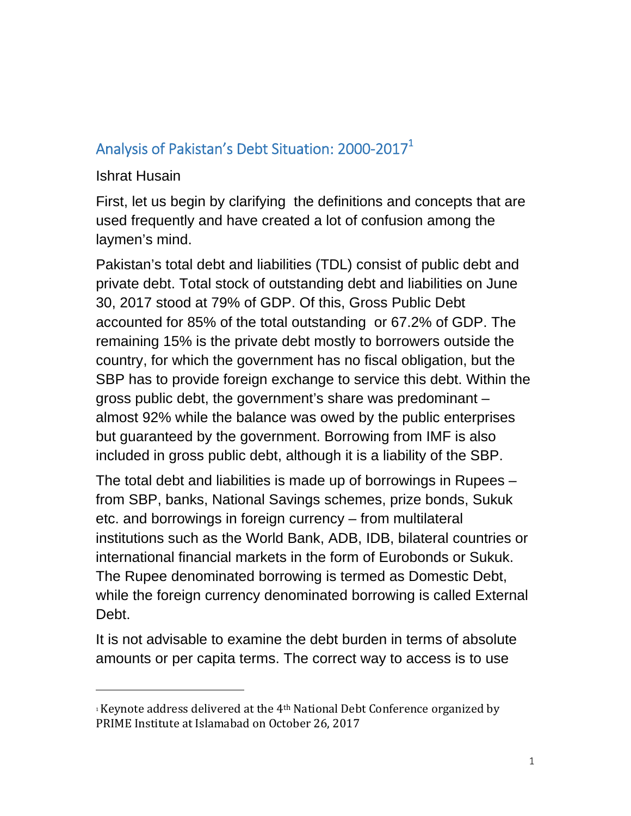#### Analysis of Pakistan's Debt Situation: 2000-2017 $^{\rm 1}$

#### Ishrat Husain

First, let us begin by clarifying the definitions and concepts that are used frequently and have created a lot of confusion among the laymen's mind.

Pakistan's total debt and liabilities (TDL) consist of public debt and private debt. Total stock of outstanding debt and liabilities on June 30, 2017 stood at 79% of GDP. Of this, Gross Public Debt accounted for 85% of the total outstanding or 67.2% of GDP. The remaining 15% is the private debt mostly to borrowers outside the country, for which the government has no fiscal obligation, but the SBP has to provide foreign exchange to service this debt. Within the gross public debt, the government's share was predominant – almost 92% while the balance was owed by the public enterprises but guaranteed by the government. Borrowing from IMF is also included in gross public debt, although it is a liability of the SBP.

The total debt and liabilities is made up of borrowings in Rupees – from SBP, banks, National Savings schemes, prize bonds, Sukuk etc. and borrowings in foreign currency – from multilateral institutions such as the World Bank, ADB, IDB, bilateral countries or international financial markets in the form of Eurobonds or Sukuk. The Rupee denominated borrowing is termed as Domestic Debt, while the foreign currency denominated borrowing is called External Debt.

It is not advisable to examine the debt burden in terms of absolute amounts or per capita terms. The correct way to access is to use

<sup>&</sup>lt;sup>1</sup> Keynote address delivered at the  $4<sup>th</sup>$  National Debt Conference organized by PRIME Institute at Islamabad on October 26, 2017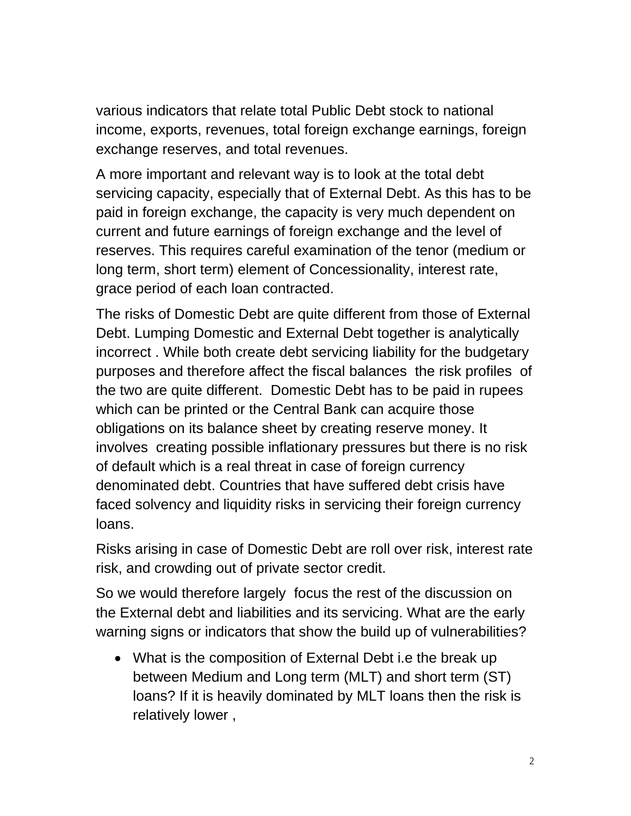various indicators that relate total Public Debt stock to national income, exports, revenues, total foreign exchange earnings, foreign exchange reserves, and total revenues.

A more important and relevant way is to look at the total debt servicing capacity, especially that of External Debt. As this has to be paid in foreign exchange, the capacity is very much dependent on current and future earnings of foreign exchange and the level of reserves. This requires careful examination of the tenor (medium or long term, short term) element of Concessionality, interest rate, grace period of each loan contracted.

The risks of Domestic Debt are quite different from those of External Debt. Lumping Domestic and External Debt together is analytically incorrect . While both create debt servicing liability for the budgetary purposes and therefore affect the fiscal balances the risk profiles of the two are quite different. Domestic Debt has to be paid in rupees which can be printed or the Central Bank can acquire those obligations on its balance sheet by creating reserve money. It involves creating possible inflationary pressures but there is no risk of default which is a real threat in case of foreign currency denominated debt. Countries that have suffered debt crisis have faced solvency and liquidity risks in servicing their foreign currency loans.

Risks arising in case of Domestic Debt are roll over risk, interest rate risk, and crowding out of private sector credit.

So we would therefore largely focus the rest of the discussion on the External debt and liabilities and its servicing. What are the early warning signs or indicators that show the build up of vulnerabilities?

• What is the composition of External Debt i.e the break up between Medium and Long term (MLT) and short term (ST) loans? If it is heavily dominated by MLT loans then the risk is relatively lower ,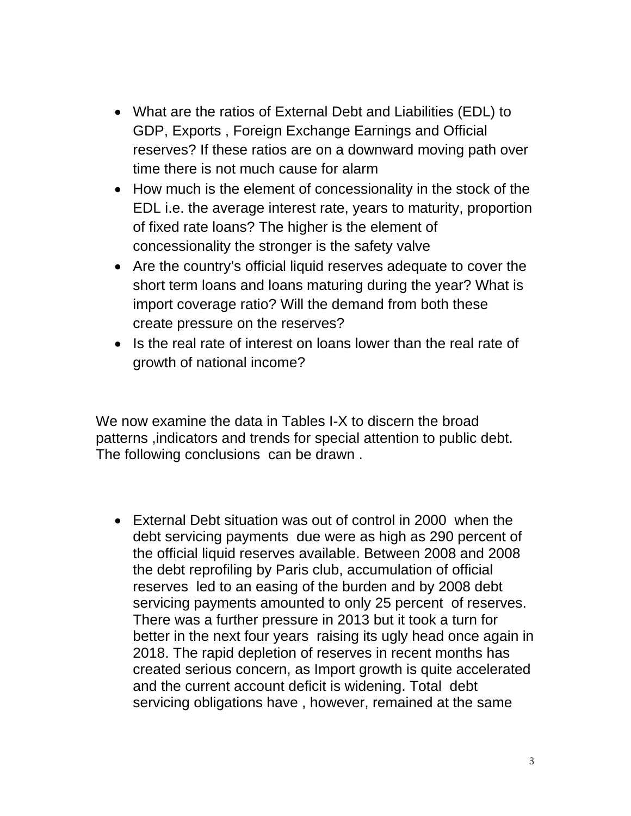- What are the ratios of External Debt and Liabilities (EDL) to GDP, Exports , Foreign Exchange Earnings and Official reserves? If these ratios are on a downward moving path over time there is not much cause for alarm
- How much is the element of concessionality in the stock of the EDL i.e. the average interest rate, years to maturity, proportion of fixed rate loans? The higher is the element of concessionality the stronger is the safety valve
- Are the country's official liquid reserves adequate to cover the short term loans and loans maturing during the year? What is import coverage ratio? Will the demand from both these create pressure on the reserves?
- Is the real rate of interest on loans lower than the real rate of growth of national income?

We now examine the data in Tables I-X to discern the broad patterns ,indicators and trends for special attention to public debt. The following conclusions can be drawn .

 External Debt situation was out of control in 2000 when the debt servicing payments due were as high as 290 percent of the official liquid reserves available. Between 2008 and 2008 the debt reprofiling by Paris club, accumulation of official reserves led to an easing of the burden and by 2008 debt servicing payments amounted to only 25 percent of reserves. There was a further pressure in 2013 but it took a turn for better in the next four years raising its ugly head once again in 2018. The rapid depletion of reserves in recent months has created serious concern, as Import growth is quite accelerated and the current account deficit is widening. Total debt servicing obligations have , however, remained at the same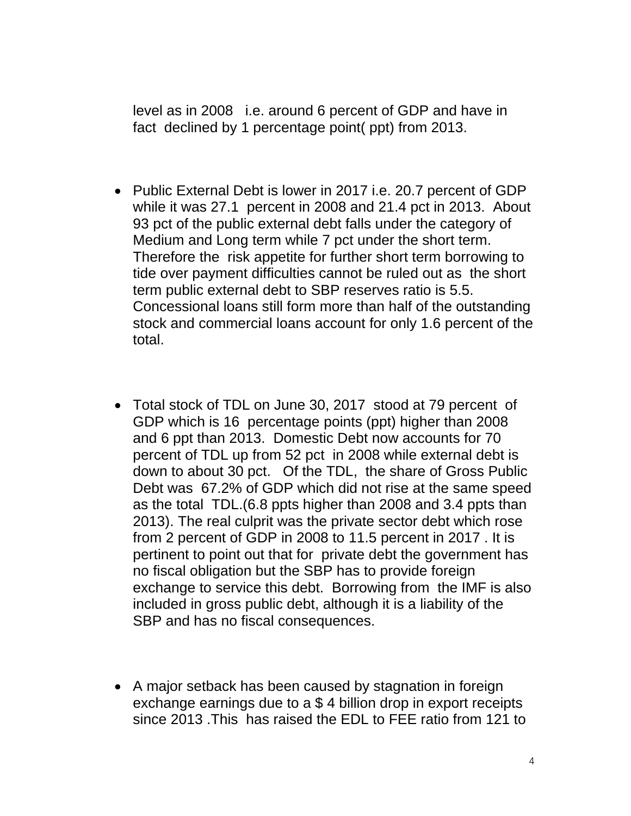level as in 2008 i.e. around 6 percent of GDP and have in fact declined by 1 percentage point( ppt) from 2013.

- Public External Debt is lower in 2017 i.e. 20.7 percent of GDP while it was 27.1 percent in 2008 and 21.4 pct in 2013. About 93 pct of the public external debt falls under the category of Medium and Long term while 7 pct under the short term. Therefore the risk appetite for further short term borrowing to tide over payment difficulties cannot be ruled out as the short term public external debt to SBP reserves ratio is 5.5. Concessional loans still form more than half of the outstanding stock and commercial loans account for only 1.6 percent of the total.
- Total stock of TDL on June 30, 2017 stood at 79 percent of GDP which is 16 percentage points (ppt) higher than 2008 and 6 ppt than 2013. Domestic Debt now accounts for 70 percent of TDL up from 52 pct in 2008 while external debt is down to about 30 pct. Of the TDL, the share of Gross Public Debt was 67.2% of GDP which did not rise at the same speed as the total TDL.(6.8 ppts higher than 2008 and 3.4 ppts than 2013). The real culprit was the private sector debt which rose from 2 percent of GDP in 2008 to 11.5 percent in 2017 . It is pertinent to point out that for private debt the government has no fiscal obligation but the SBP has to provide foreign exchange to service this debt. Borrowing from the IMF is also included in gross public debt, although it is a liability of the SBP and has no fiscal consequences.
- A major setback has been caused by stagnation in foreign exchange earnings due to a \$ 4 billion drop in export receipts since 2013 .This has raised the EDL to FEE ratio from 121 to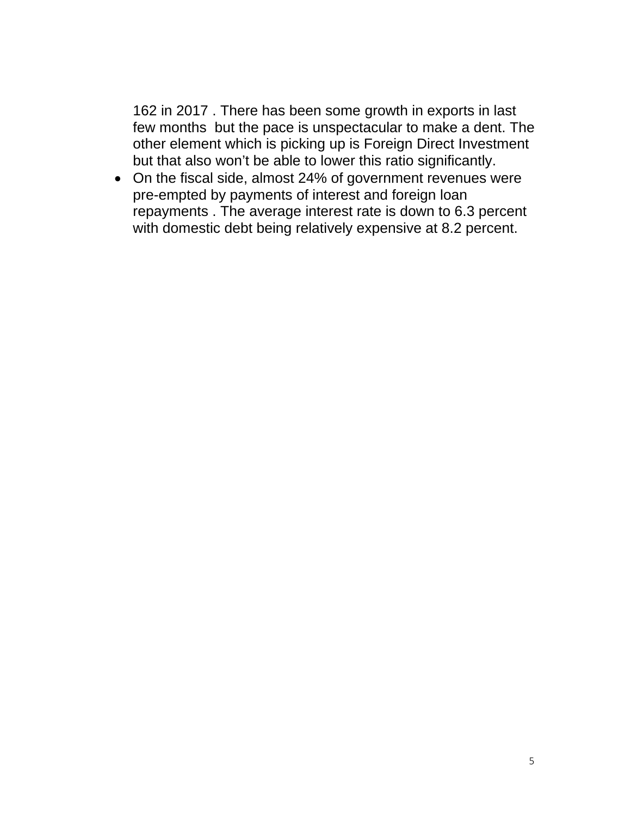162 in 2017 . There has been some growth in exports in last few months but the pace is unspectacular to make a dent. The other element which is picking up is Foreign Direct Investment but that also won't be able to lower this ratio significantly.

 On the fiscal side, almost 24% of government revenues were pre-empted by payments of interest and foreign loan repayments . The average interest rate is down to 6.3 percent with domestic debt being relatively expensive at 8.2 percent.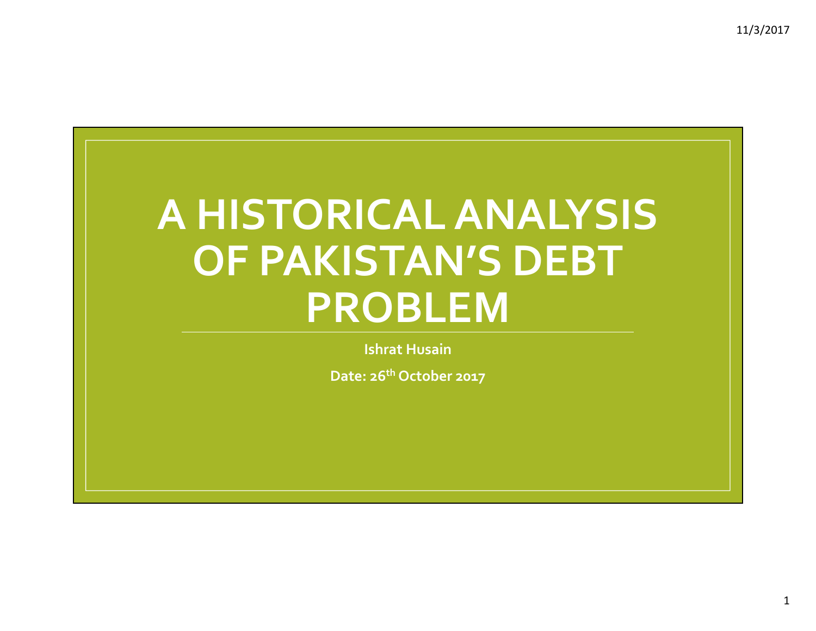# **A HISTORICALANALYSIS OF PAKISTAN'S DEBT PROBLEM**

**Ishrat Husain**

**Date: 26th October 2017**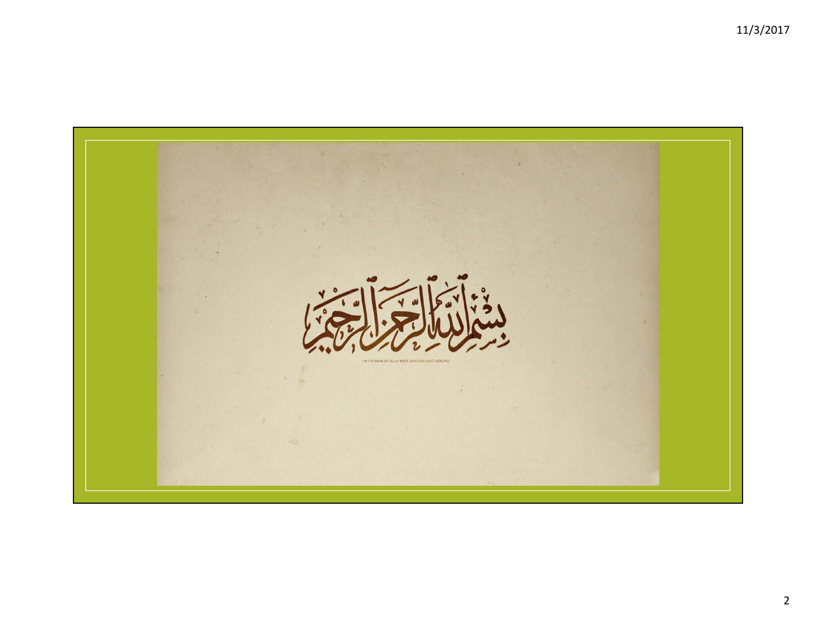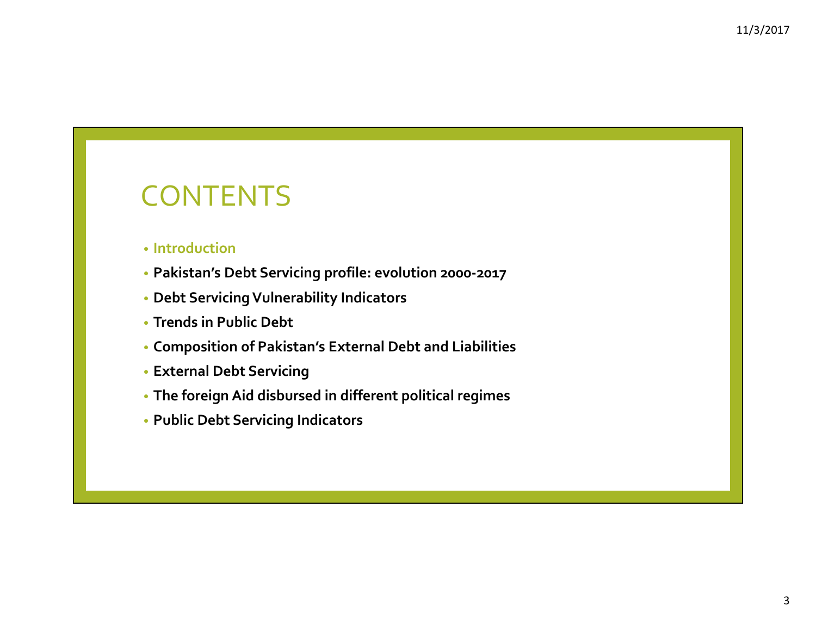### CONTENTS

#### • **Introduction**

- **Pakistan's Debt Servicing profile: evolution <sup>2000</sup>‐2017**
- **Debt ServicingVulnerability Indicators**
- **Trends in Public Debt**
- **Composition of Pakistan's External Debt and Liabilities**
- **External Debt Servicing**
- **The foreign Aid disbursed in different political regimes**
- **Public Debt Servicing Indicators**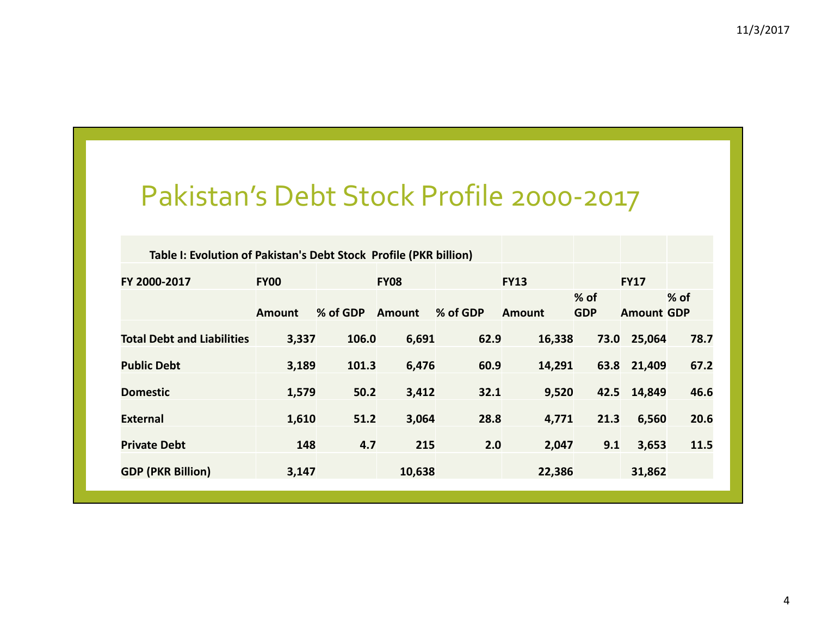#### Pakistan's Debt Stock Profile 2000‐2017

| Table I: Evolution of Pakistan's Debt Stock Profile (PKR billion) |               |          |               |          |               |                      |                   |        |
|-------------------------------------------------------------------|---------------|----------|---------------|----------|---------------|----------------------|-------------------|--------|
| FY 2000-2017                                                      | <b>FY00</b>   |          | <b>FY08</b>   |          | <b>FY13</b>   |                      | <b>FY17</b>       |        |
|                                                                   | <b>Amount</b> | % of GDP | <b>Amount</b> | % of GDP | <b>Amount</b> | $%$ of<br><b>GDP</b> | <b>Amount GDP</b> | $%$ of |
| <b>Total Debt and Liabilities</b>                                 | 3,337         | 106.0    | 6,691         | 62.9     | 16,338        | 73.0                 | 25,064            | 78.7   |
| <b>Public Debt</b>                                                | 3,189         | 101.3    | 6,476         | 60.9     | 14,291        | 63.8                 | 21,409            | 67.2   |
| <b>Domestic</b>                                                   | 1,579         | 50.2     | 3,412         | 32.1     | 9,520         | 42.5                 | 14,849            | 46.6   |
| <b>External</b>                                                   | 1,610         | 51.2     | 3,064         | 28.8     | 4,771         | 21.3                 | 6,560             | 20.6   |
| <b>Private Debt</b>                                               | 148           | 4.7      | 215           | 2.0      | 2,047         | 9.1                  | 3,653             | 11.5   |
| <b>GDP (PKR Billion)</b>                                          | 3,147         |          | 10,638        |          | 22,386        |                      | 31,862            |        |
|                                                                   |               |          |               |          |               |                      |                   |        |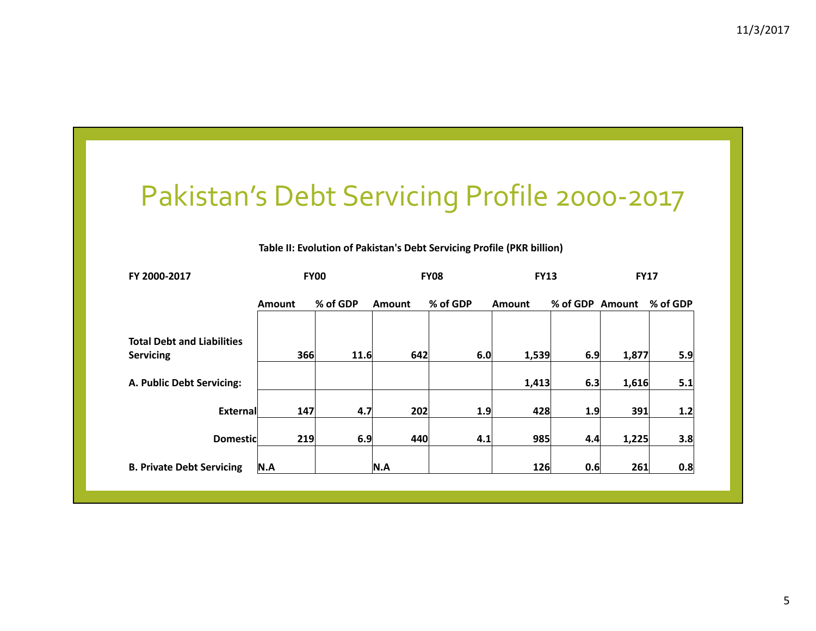# Pakistan's Debt Servicing Profile <sup>2000</sup>‐<sup>2017</sup>

#### **Table II: Evolution of Pakistan's Debt Servicing Profile (PKR billion)**

| FY 2000-2017                                          |               | <b>FY00</b> |               | <b>FY08</b> | <b>FY13</b>   |                 | <b>FY17</b> |          |
|-------------------------------------------------------|---------------|-------------|---------------|-------------|---------------|-----------------|-------------|----------|
|                                                       | <b>Amount</b> | % of GDP    | <b>Amount</b> | % of GDP    | <b>Amount</b> | % of GDP Amount |             | % of GDP |
| <b>Total Debt and Liabilities</b><br><b>Servicing</b> | 366           | 11.6        | 642           | 6.0         | 1,539         | 6.9             | 1,877       | 5.9      |
| A. Public Debt Servicing:                             |               |             |               |             | 1,413         | 6.3             | 1,616       | 5.1      |
| External                                              | 147           | 4.7         | 202           | 1.9         | 428           | 1.9             | 391         | 1.2      |
| <b>Domestic</b>                                       | 219           | 6.9         | 440           | 4.1         | 985           | 4.4             | 1,225       | 3.8      |
| <b>B. Private Debt Servicing</b>                      | N.A           |             | N.A           |             | 126           | 0.6             | 261         | 0.8      |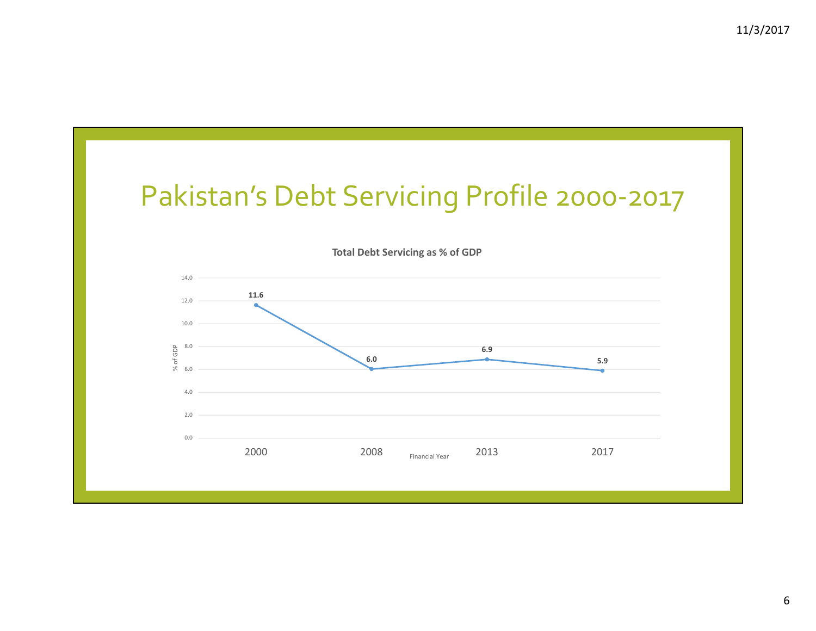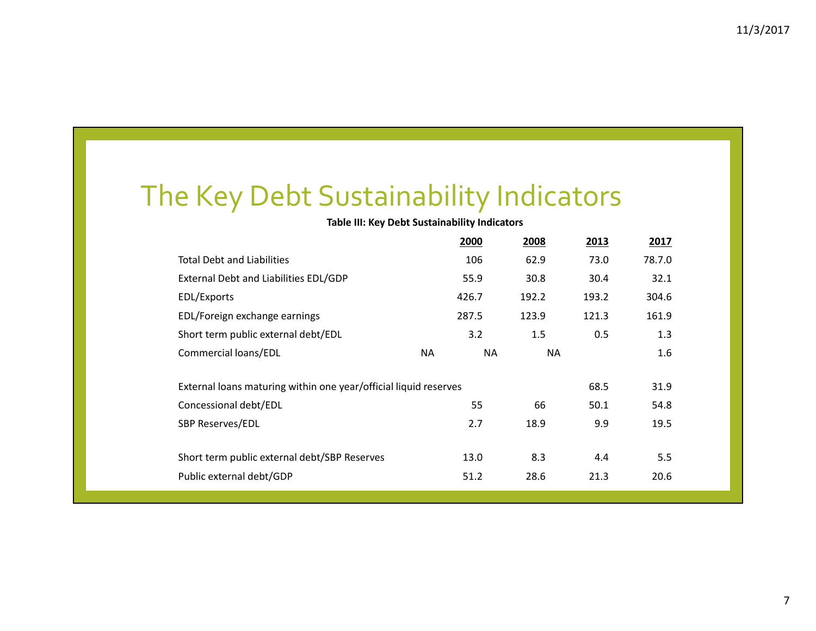## The Key Debt Sustainability Indicators

#### **Table III: Key Debt Sustainability Indicators**

|                                                                  |    | 2000      | 2008      | 2013  | 2017   |  |
|------------------------------------------------------------------|----|-----------|-----------|-------|--------|--|
| <b>Total Debt and Liabilities</b>                                |    | 106       | 62.9      | 73.0  | 78.7.0 |  |
| External Debt and Liabilities EDL/GDP                            |    | 55.9      | 30.8      | 30.4  | 32.1   |  |
| EDL/Exports                                                      |    | 426.7     | 192.2     | 193.2 | 304.6  |  |
| EDL/Foreign exchange earnings                                    |    | 287.5     | 123.9     | 121.3 | 161.9  |  |
| Short term public external debt/EDL                              |    | 3.2       | 1.5       | 0.5   | 1.3    |  |
| Commercial loans/EDL                                             | NA | <b>NA</b> | <b>NA</b> |       | 1.6    |  |
|                                                                  |    |           |           |       |        |  |
| External loans maturing within one year/official liquid reserves |    |           |           | 68.5  | 31.9   |  |
| Concessional debt/EDL                                            |    | 55        | 66        | 50.1  | 54.8   |  |
| <b>SBP Reserves/EDL</b>                                          |    | 2.7       | 18.9      | 9.9   | 19.5   |  |
|                                                                  |    |           |           |       |        |  |
| Short term public external debt/SBP Reserves                     |    | 13.0      | 8.3       | 4.4   | 5.5    |  |
| Public external debt/GDP                                         |    | 51.2      | 28.6      | 21.3  | 20.6   |  |
|                                                                  |    |           |           |       |        |  |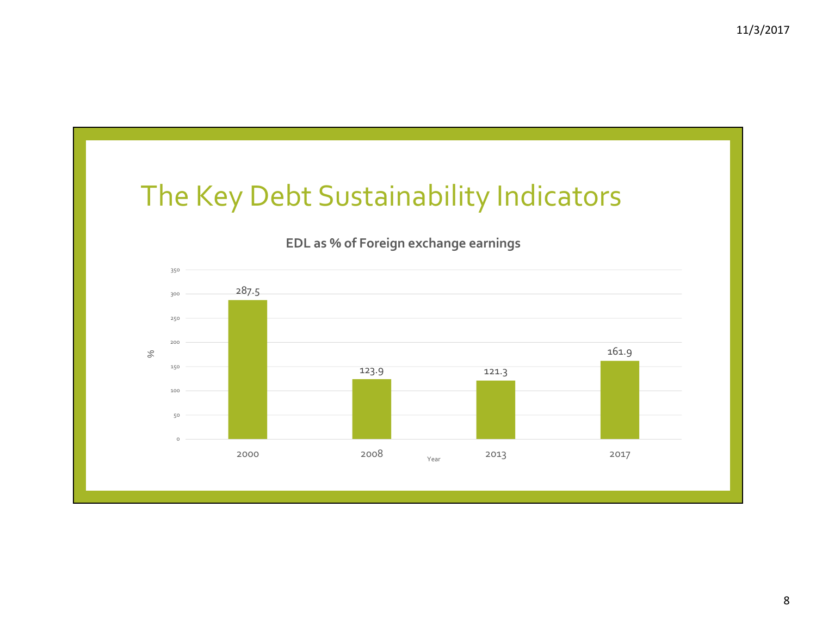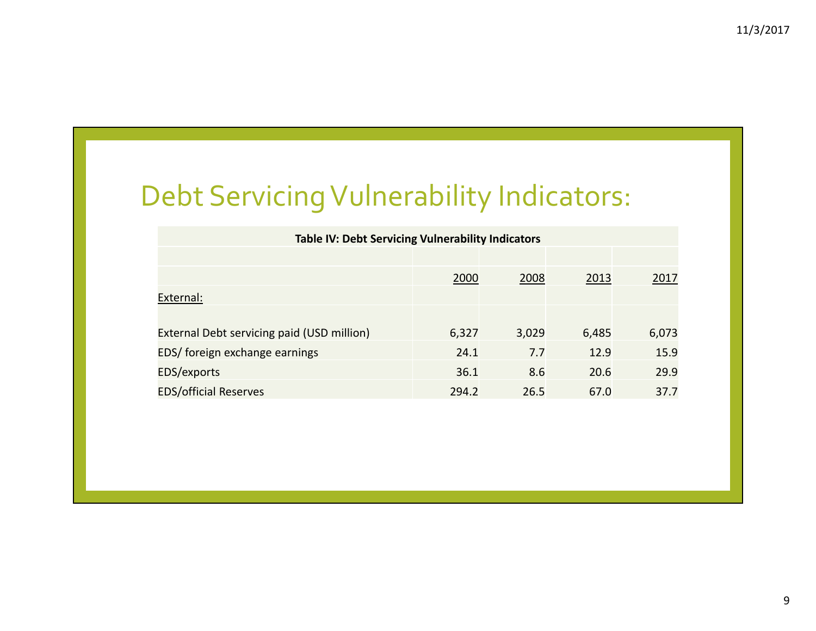# Debt ServicingVulnerability Indicators:

| <b>Table IV: Debt Servicing Vulnerability Indicators</b> |       |       |       |       |
|----------------------------------------------------------|-------|-------|-------|-------|
|                                                          |       |       |       |       |
|                                                          | 2000  | 2008  | 2013  | 2017  |
| External:                                                |       |       |       |       |
|                                                          |       |       |       |       |
| External Debt servicing paid (USD million)               | 6,327 | 3,029 | 6,485 | 6,073 |
| EDS/ foreign exchange earnings                           | 24.1  | 7.7   | 12.9  | 15.9  |
| EDS/exports                                              | 36.1  | 8.6   | 20.6  | 29.9  |
| <b>EDS/official Reserves</b>                             | 294.2 | 26.5  | 67.0  | 37.7  |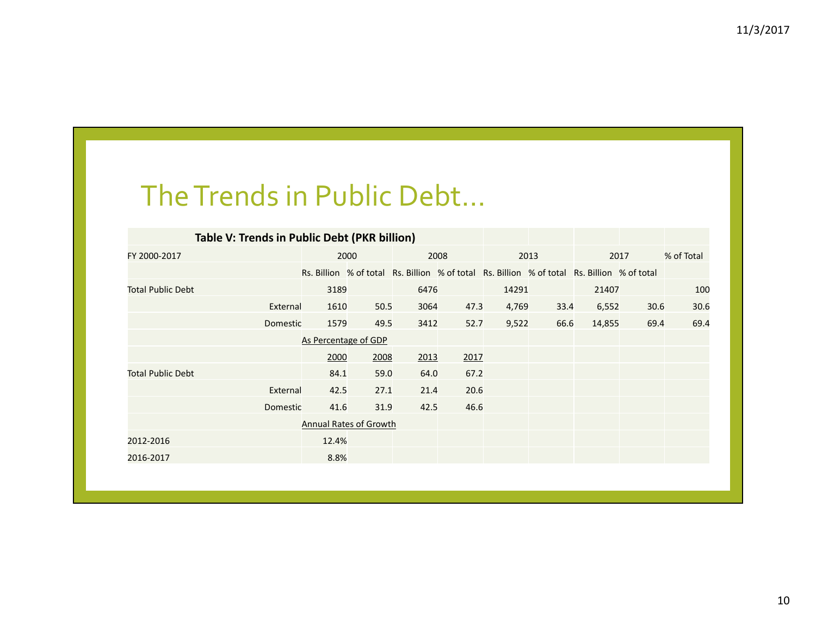### TheTrends in Public Debt…

| Table V: Trends in Public Debt (PKR billion) |                      |                               |      |      |                                                                                             |      |        |      |            |
|----------------------------------------------|----------------------|-------------------------------|------|------|---------------------------------------------------------------------------------------------|------|--------|------|------------|
| FY 2000-2017                                 |                      | 2000                          |      | 2008 |                                                                                             | 2013 |        | 2017 | % of Total |
|                                              |                      |                               |      |      | Rs. Billion % of total Rs. Billion % of total Rs. Billion % of total Rs. Billion % of total |      |        |      |            |
| <b>Total Public Debt</b>                     | 3189                 |                               | 6476 |      | 14291                                                                                       |      | 21407  |      | 100        |
| External                                     | 1610                 | 50.5                          | 3064 | 47.3 | 4,769                                                                                       | 33.4 | 6,552  | 30.6 | 30.6       |
| <b>Domestic</b>                              | 1579                 | 49.5                          | 3412 | 52.7 | 9,522                                                                                       | 66.6 | 14,855 | 69.4 | 69.4       |
|                                              | As Percentage of GDP |                               |      |      |                                                                                             |      |        |      |            |
|                                              | 2000                 | 2008                          | 2013 | 2017 |                                                                                             |      |        |      |            |
| <b>Total Public Debt</b>                     | 84.1                 | 59.0                          | 64.0 | 67.2 |                                                                                             |      |        |      |            |
| External                                     | 42.5                 | 27.1                          | 21.4 | 20.6 |                                                                                             |      |        |      |            |
| Domestic                                     | 41.6                 | 31.9                          | 42.5 | 46.6 |                                                                                             |      |        |      |            |
|                                              |                      | <b>Annual Rates of Growth</b> |      |      |                                                                                             |      |        |      |            |
| 2012-2016                                    | 12.4%                |                               |      |      |                                                                                             |      |        |      |            |
| 2016-2017                                    | 8.8%                 |                               |      |      |                                                                                             |      |        |      |            |
|                                              |                      |                               |      |      |                                                                                             |      |        |      |            |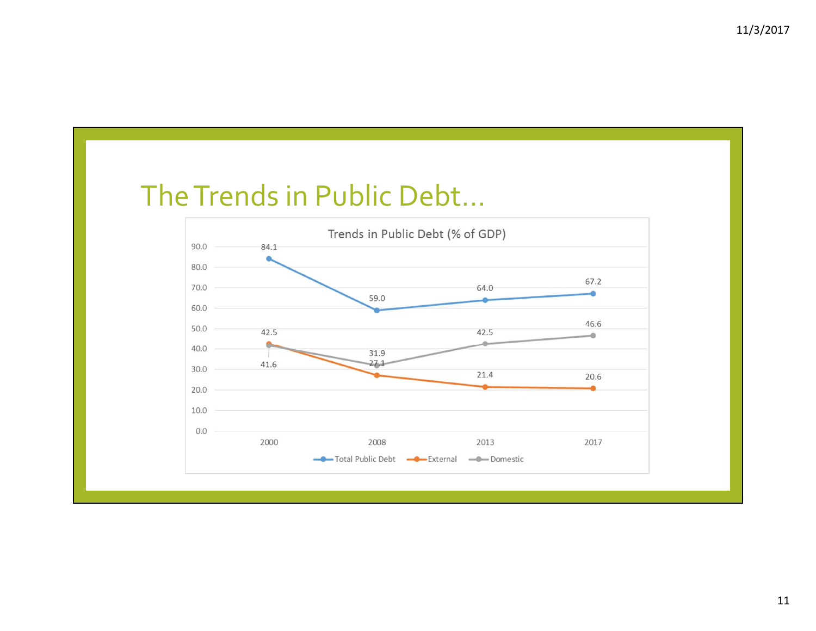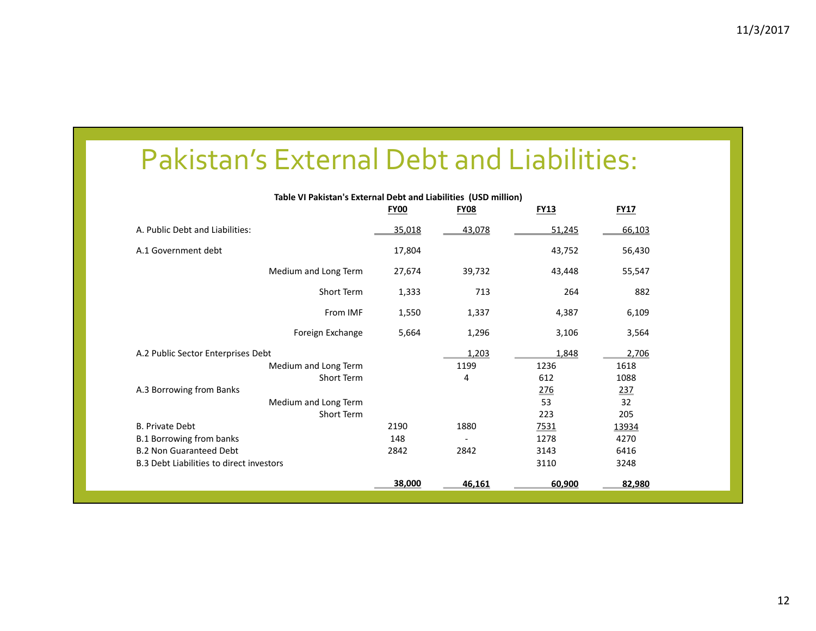#### Pakistan's External Debt and Liabilities:

| Table VI Pakistan's External Debt and Liabilities (USD million) | <b>FY00</b> | <b>FY08</b> | <b>FY13</b> | <b>FY17</b> |
|-----------------------------------------------------------------|-------------|-------------|-------------|-------------|
|                                                                 |             |             |             |             |
| A. Public Debt and Liabilities:                                 | 35,018      | 43,078      | 51,245      | 66,103      |
| A.1 Government debt                                             | 17,804      |             | 43,752      | 56,430      |
| Medium and Long Term                                            | 27,674      | 39,732      | 43,448      | 55,547      |
| Short Term                                                      | 1,333       | 713         | 264         | 882         |
| From IMF                                                        | 1,550       | 1,337       | 4,387       | 6,109       |
| Foreign Exchange                                                | 5,664       | 1,296       | 3,106       | 3,564       |
| A.2 Public Sector Enterprises Debt                              |             | 1,203       | 1,848       | 2,706       |
| Medium and Long Term                                            |             | 1199        | 1236        | 1618        |
| Short Term                                                      |             | 4           | 612         | 1088        |
| A.3 Borrowing from Banks                                        |             |             | 276         | 237         |
| Medium and Long Term                                            |             |             | 53          | 32          |
| Short Term                                                      |             |             | 223         | 205         |
| <b>B. Private Debt</b>                                          | 2190        | 1880        | 7531        | 13934       |
| <b>B.1 Borrowing from banks</b>                                 | 148         |             | 1278        | 4270        |
| <b>B.2 Non Guaranteed Debt</b>                                  | 2842        | 2842        | 3143        | 6416        |
| <b>B.3 Debt Liabilities to direct investors</b>                 |             |             | 3110        | 3248        |
|                                                                 | 38,000      | 46,161      | 60,900      | 82,980      |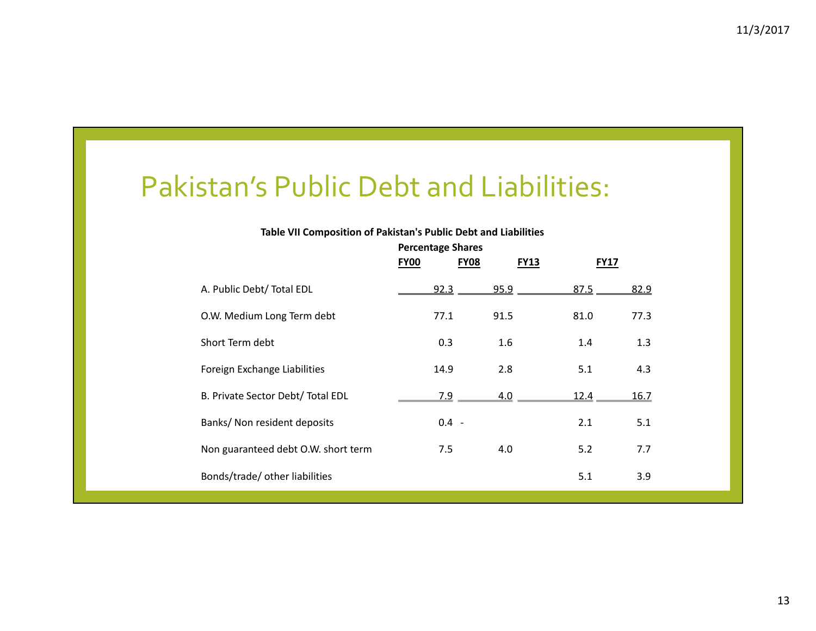#### Pakistan's Public Debt and Liabilities:

#### **Table VII Composition of Pakistan's Public Debt and Liabilities**

|                                     | <b>Percentage Shares</b><br><b>FY00</b><br><b>FY08</b> | <b>FY13</b> | <b>FY17</b> |      |
|-------------------------------------|--------------------------------------------------------|-------------|-------------|------|
| A. Public Debt/ Total EDL           | 92.3                                                   | 95.9        | 87.5        | 82.9 |
| O.W. Medium Long Term debt          | 77.1                                                   | 91.5        | 81.0        | 77.3 |
| Short Term debt                     | 0.3                                                    | 1.6         | 1.4         | 1.3  |
| Foreign Exchange Liabilities        | 14.9                                                   | 2.8         | 5.1         | 4.3  |
| B. Private Sector Debt/ Total EDL   | <u>7.9</u>                                             | 4.0         | 12.4        | 16.7 |
| Banks/ Non resident deposits        | $0.4 -$                                                |             | 2.1         | 5.1  |
| Non guaranteed debt O.W. short term | 7.5                                                    | 4.0         | 5.2         | 7.7  |
| Bonds/trade/ other liabilities      |                                                        |             | 5.1         | 3.9  |
|                                     |                                                        |             |             |      |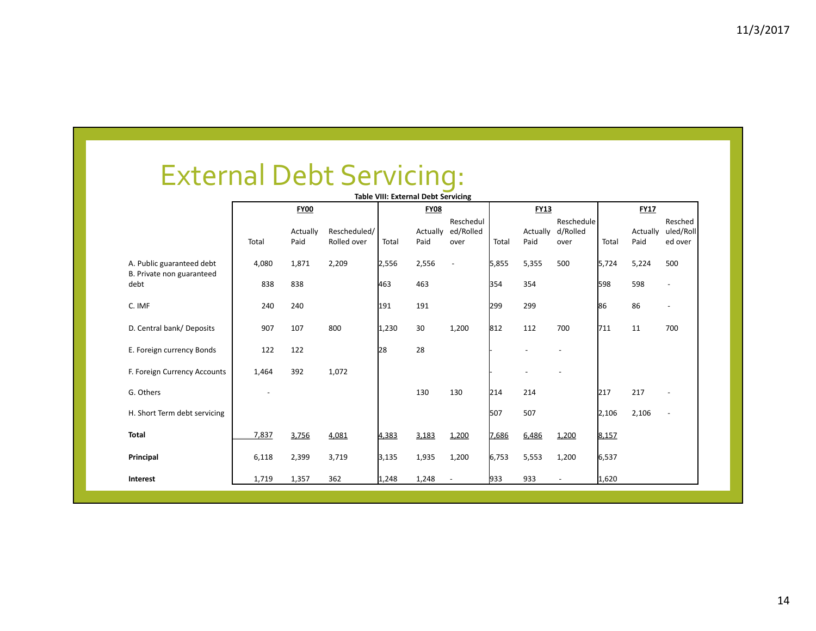# External Debt Servicing: **Table VIII: External Debt Servicing**

|                                                        |                          |             |              |       | Table VIII: External Debt Servicing |                |       |             |                          |       |             |                |
|--------------------------------------------------------|--------------------------|-------------|--------------|-------|-------------------------------------|----------------|-------|-------------|--------------------------|-------|-------------|----------------|
|                                                        |                          | <b>FY00</b> |              |       | <b>FY08</b>                         |                |       | <b>FY13</b> |                          |       | <b>FY17</b> |                |
|                                                        |                          |             |              |       |                                     | Reschedul      |       |             | Reschedule               |       |             | Resched        |
|                                                        |                          | Actually    | Rescheduled/ |       | Actually                            | ed/Rolled      |       | Actually    | d/Rolled                 |       | Actually    | uled/Roll      |
|                                                        | Total                    | Paid        | Rolled over  | Total | Paid                                | over           | Total | Paid        | over                     | Total | Paid        | ed over        |
| A. Public guaranteed debt<br>B. Private non guaranteed | 4,080                    | 1,871       | 2,209        | 2,556 | 2,556                               |                | 5,855 | 5,355       | 500                      | 5,724 | 5,224       | 500            |
| debt                                                   | 838                      | 838         |              | 463   | 463                                 |                | 354   | 354         |                          | 598   | 598         | $\sim$         |
| C. IMF                                                 | 240                      | 240         |              | 191   | 191                                 |                | 299   | 299         |                          | 86    | 86          | $\blacksquare$ |
| D. Central bank/Deposits                               | 907                      | 107         | 800          | 1,230 | 30                                  | 1,200          | 812   | 112         | 700                      | 711   | 11          | 700            |
| E. Foreign currency Bonds                              | 122                      | 122         |              | 28    | 28                                  |                |       |             |                          |       |             |                |
| F. Foreign Currency Accounts                           | 1,464                    | 392         | 1,072        |       |                                     |                |       |             |                          |       |             |                |
| G. Others                                              | $\overline{\phantom{a}}$ |             |              |       | 130                                 | 130            | 214   | 214         |                          | 217   | 217         |                |
| H. Short Term debt servicing                           |                          |             |              |       |                                     |                | 507   | 507         |                          | 2,106 | 2,106       |                |
| <b>Total</b>                                           | 7,837                    | 3,756       | 4,081        | 4,383 | 3,183                               | 1,200          | 7,686 | 6,486       | 1,200                    | 8,157 |             |                |
| Principal                                              | 6,118                    | 2,399       | 3,719        | 3,135 | 1,935                               | 1,200          | 6,753 | 5,553       | 1,200                    | 6,537 |             |                |
| Interest                                               | 1,719                    | 1,357       | 362          | 1,248 | 1,248                               | $\blacksquare$ | 933   | 933         | $\overline{\phantom{a}}$ | 1,620 |             |                |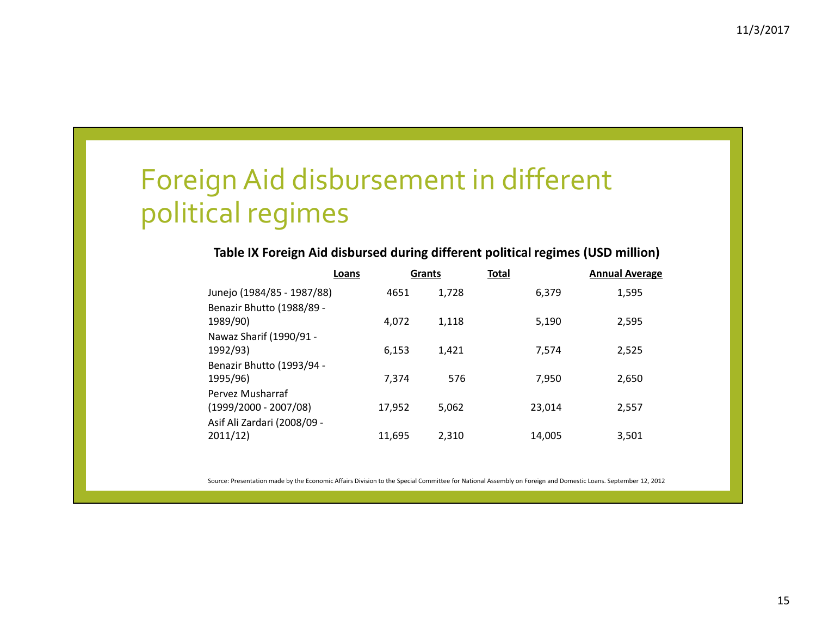# Foreign Aid disbursement in different political regimes

#### **Table IX Foreign Aid disbursed during different political regimes (USD million)**

|                                             | Loans  | <b>Grants</b> | <b>Total</b> |        | <b>Annual Average</b> |
|---------------------------------------------|--------|---------------|--------------|--------|-----------------------|
| Junejo (1984/85 - 1987/88)                  | 4651   |               | 1,728        | 6,379  | 1,595                 |
| Benazir Bhutto (1988/89 -<br>1989/90)       | 4.072  |               | 1,118        | 5,190  | 2,595                 |
| Nawaz Sharif (1990/91 -<br>1992/93)         | 6.153  |               | 1,421        | 7.574  | 2,525                 |
| Benazir Bhutto (1993/94 -<br>1995/96)       | 7.374  |               | 576          | 7.950  | 2,650                 |
| Pervez Musharraf<br>$(1999/2000 - 2007/08)$ | 17,952 |               | 5,062        | 23.014 | 2,557                 |
| Asif Ali Zardari (2008/09 -<br>2011/12)     | 11,695 |               | 2,310        | 14,005 | 3,501                 |

Source: Presentation made by the Economic Affairs Division to the Special Committee for National Assembly on Foreign and Domestic Loans. September 12, 2012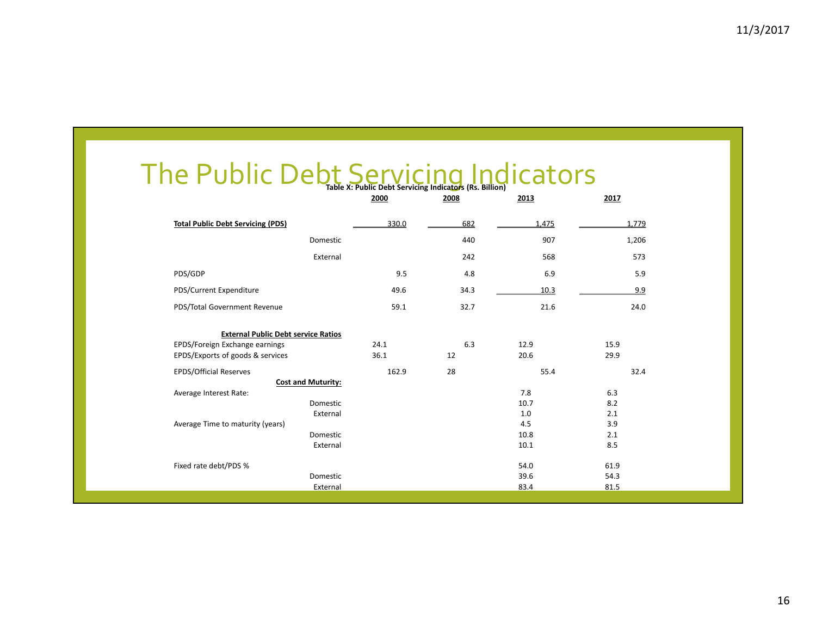### The Public Debt**Table X:**Servicing **Public Debt Servicing Indicators (Rs.** Indicators **Billion)**

|                                            | 2000  | 2008 | 2013  | 2017  |
|--------------------------------------------|-------|------|-------|-------|
| <b>Total Public Debt Servicing (PDS)</b>   | 330.0 | 682  | 1,475 | 1,779 |
| Domestic                                   |       | 440  | 907   | 1,206 |
| External                                   |       | 242  | 568   | 573   |
| PDS/GDP                                    | 9.5   | 4.8  | 6.9   | 5.9   |
| PDS/Current Expenditure                    | 49.6  | 34.3 | 10.3  | 9.9   |
| PDS/Total Government Revenue               | 59.1  | 32.7 | 21.6  | 24.0  |
| <b>External Public Debt service Ratios</b> |       |      |       |       |
| EPDS/Foreign Exchange earnings             | 24.1  | 6.3  | 12.9  | 15.9  |
| EPDS/Exports of goods & services           | 36.1  | 12   | 20.6  | 29.9  |
| <b>EPDS/Official Reserves</b>              | 162.9 | 28   | 55.4  | 32.4  |
| <b>Cost and Muturity:</b>                  |       |      |       |       |
| Average Interest Rate:                     |       |      | 7.8   | 6.3   |
| Domestic                                   |       |      | 10.7  | 8.2   |
| External                                   |       |      | 1.0   | 2.1   |
| Average Time to maturity (years)           |       |      | 4.5   | 3.9   |
| Domestic                                   |       |      | 10.8  | 2.1   |
| External                                   |       |      | 10.1  | 8.5   |
| Fixed rate debt/PDS %                      |       |      | 54.0  | 61.9  |
| Domestic                                   |       |      | 39.6  | 54.3  |
| External                                   |       |      | 83.4  | 81.5  |